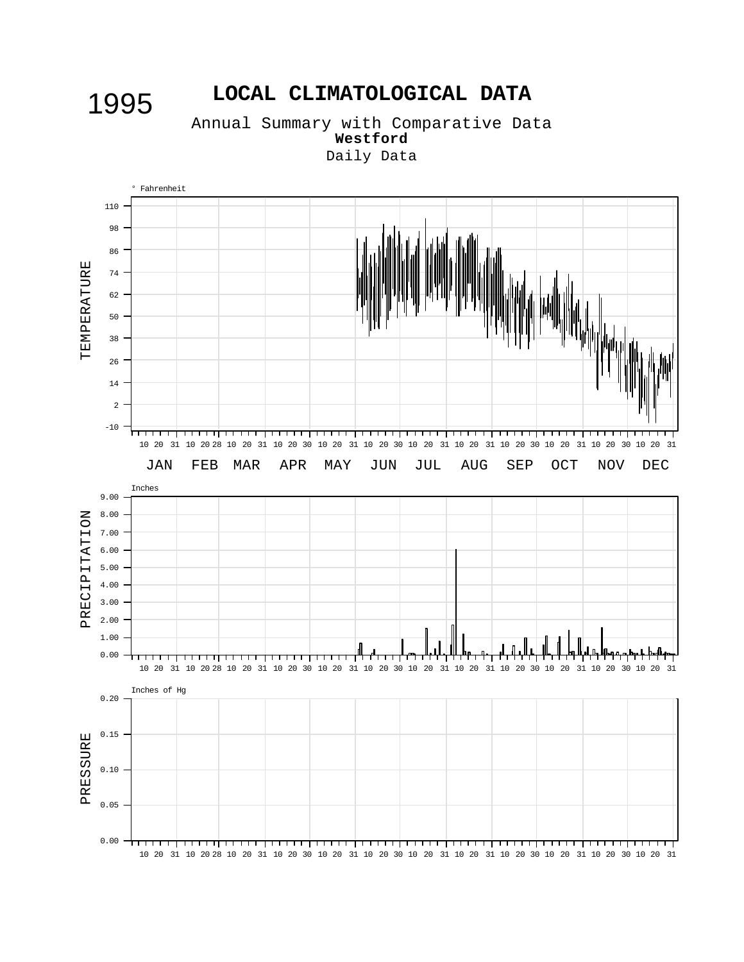# 1995 **LOCAL CLIMATOLOGICAL DATA**

Annual Summary with Comparative Data **Westford** Daily Data

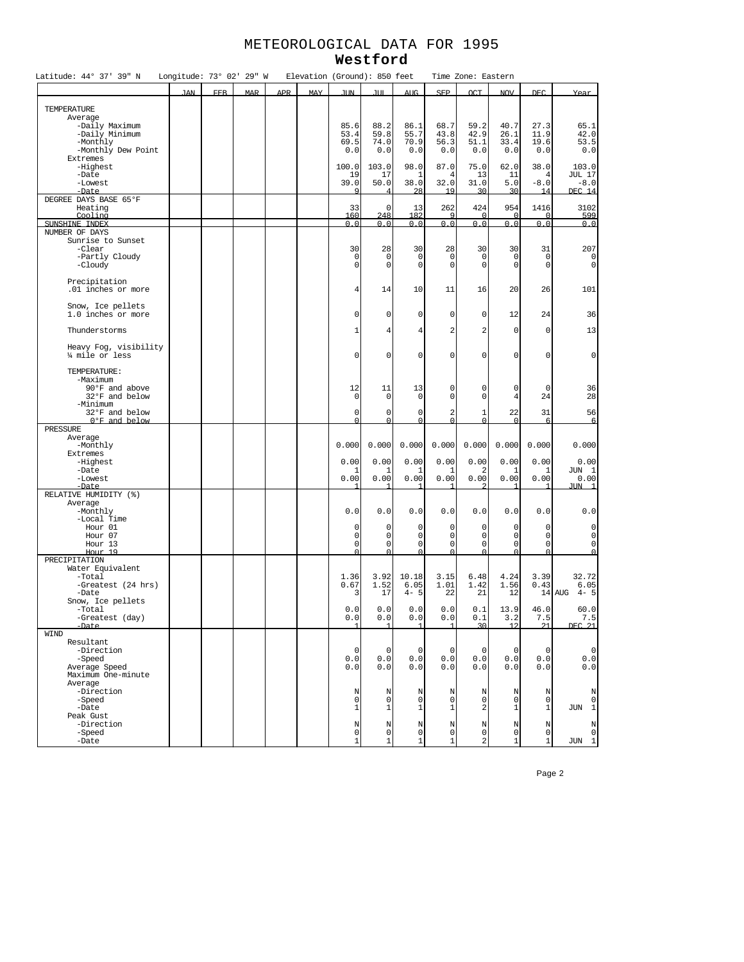## METEOROLOGICAL DATA FOR 1995 **Westford**

| Latitude: 44° 37' 39" N          | Longitude: 73° 02' 29" W |            |            |            | Elevation (Ground): 850 feet |                       |                     |                     |                     | Time Zone: Eastern |                     |              |                   |
|----------------------------------|--------------------------|------------|------------|------------|------------------------------|-----------------------|---------------------|---------------------|---------------------|--------------------|---------------------|--------------|-------------------|
|                                  | <b>JAN</b>               | <b>FEB</b> | <b>MAR</b> | <b>APR</b> | <b>MAY</b>                   | <b>JIN</b>            | ЛΠ                  | <b>AUG</b>          | <b>SEP</b>          | <b>OCT</b>         | <b>NOV</b>          | <b>DEC</b>   | Year              |
|                                  |                          |            |            |            |                              |                       |                     |                     |                     |                    |                     |              |                   |
| TEMPERATURE<br>Average           |                          |            |            |            |                              |                       |                     |                     |                     |                    |                     |              |                   |
| -Daily Maximum                   |                          |            |            |            |                              | 85.6                  | 88.2                | 86.1                | 68.7                | 59.2               | 40.7                | 27.3         | 65.1              |
| -Daily Minimum                   |                          |            |            |            |                              | 53.4                  | 59.8                | 55.7                | 43.8                | 42.9               | 26.1                | 11.9         | 42.0              |
| -Monthly                         |                          |            |            |            |                              | 69.5                  | 74.0                | 70.9                | 56.3                | 51.1               | 33.4                | 19.6         | 53.5              |
| -Monthly Dew Point               |                          |            |            |            |                              | 0.0                   | 0.0                 | 0.0                 | 0.0                 | 0.0                | 0.0                 | 0.0          | 0.0               |
| Extremes<br>-Highest             |                          |            |            |            |                              | 100.0                 | 103.0               | 98.0                | 87.0                | 75.0               | 62.0                | 38.0         | 103.0             |
| $-$ Date                         |                          |            |            |            |                              | 19                    | 17                  | -1                  | 4                   | 13                 | 11                  | 4            | <b>JUL 17</b>     |
| -Lowest                          |                          |            |            |            |                              | 39.0                  | 50.0                | 38.0                | 32.0                | 31.0               | 5.0                 | $-8.0$       | $-8.0$            |
| $-$ Date                         |                          |            |            |            |                              | 9                     | 4                   | 28                  | 19                  | 30                 | 30                  | 14           | <b>DEC 14</b>     |
| DEGREE DAYS BASE 65°F            |                          |            |            |            |                              |                       |                     |                     |                     |                    |                     |              |                   |
| Heating                          |                          |            |            |            |                              | 33                    | $\mathbf 0$<br>248  | 13<br>182           | 262<br>q            | 424                | 954<br>$\cap$       | 1416         | 3102              |
| Cooling<br>SUNSHINE INDEX        |                          |            |            |            |                              | 160<br>0.0            | 0.0                 | 0.0                 | 0.0                 | 0.0                | 0.0                 | 0.0          | 599<br>0.0        |
| NUMBER OF DAYS                   |                          |            |            |            |                              |                       |                     |                     |                     |                    |                     |              |                   |
| Sunrise to Sunset                |                          |            |            |            |                              |                       |                     |                     |                     |                    |                     |              |                   |
| -Clear                           |                          |            |            |            |                              | 30                    | 28                  | 30                  | 28                  | 30                 | 30                  | 31           | 207               |
| -Partly Cloudy                   |                          |            |            |            |                              | 0                     | 0                   | 0                   | 0                   | 0                  | $\mathbf 0$         | 0            | 0                 |
| -Cloudy                          |                          |            |            |            |                              | 0                     | $\mathbf{0}$        | 0                   | $\mathbf 0$         | 0                  | 0                   | 0            | $\mathbf 0$       |
| Precipitation                    |                          |            |            |            |                              |                       |                     |                     |                     |                    |                     |              |                   |
| .01 inches or more               |                          |            |            |            |                              | 4                     | 14                  | 10                  | 11                  | 16                 | 20                  | 26           | 101               |
|                                  |                          |            |            |            |                              |                       |                     |                     |                     |                    |                     |              |                   |
| Snow, Ice pellets                |                          |            |            |            |                              |                       |                     |                     |                     |                    |                     |              |                   |
| 1.0 inches or more               |                          |            |            |            |                              | $\mathbf 0$           | $\mathbf 0$         | 0                   | 0                   | 0                  | 12                  | 24           | 36                |
|                                  |                          |            |            |            |                              |                       |                     |                     |                     |                    |                     |              |                   |
| Thunderstorms                    |                          |            |            |            |                              | 1                     | $\overline{4}$      | 4                   | 2                   | 2                  | $\mathbf 0$         | 0            | 13                |
| Heavy Fog, visibility            |                          |            |            |            |                              |                       |                     |                     |                     |                    |                     |              |                   |
| % mile or less                   |                          |            |            |            |                              | 0                     | $\mathbf 0$         | 0                   | 0                   | 0                  | $\mathsf 0$         | $\circ$      | $\mathbf 0$       |
|                                  |                          |            |            |            |                              |                       |                     |                     |                     |                    |                     |              |                   |
| TEMPERATURE:                     |                          |            |            |            |                              |                       |                     |                     |                     |                    |                     |              |                   |
| -Maximum                         |                          |            |            |            |                              |                       |                     |                     |                     |                    |                     |              |                   |
| 90°F and above<br>32°F and below |                          |            |            |            |                              | 12<br>0               | 11<br>0             | 13<br>0             | 0<br>0              | 0<br>0             | 0<br>$\overline{4}$ | 0<br>24      | 36<br>28          |
| -Minimum                         |                          |            |            |            |                              |                       |                     |                     |                     |                    |                     |              |                   |
| 32°F and below                   |                          |            |            |            |                              | 0                     | $\circ$             | 0                   | 2                   | 1                  | 22                  | 31           | 56                |
| 0°F_and_below                    |                          |            |            |            |                              | $\cap$                | $\cap$              | $\Omega$            | $\Omega$            | $\cap$             | $\Omega$            | 6            | 6                 |
| PRESSURE                         |                          |            |            |            |                              |                       |                     |                     |                     |                    |                     |              |                   |
| Average                          |                          |            |            |            |                              |                       |                     |                     |                     |                    |                     |              |                   |
| -Monthly<br>Extremes             |                          |            |            |            |                              | 0.000                 | 0.000               | 0.000               | 0.000               | 0.000              | 0.000               | 0.000        | 0.000             |
| -Highest                         |                          |            |            |            |                              | 0.00                  | 0.00                | 0.00                | 0.00                | 0.00               | 0.00                | 0.00         | 0.00              |
| -Date                            |                          |            |            |            |                              | ı.                    | 1                   | -1                  | 1                   | 2                  | 1                   | -1.          | JUN 1             |
| -Lowest                          |                          |            |            |            |                              | 0.00                  | 0.00                | 0.00                | 0.00                | 0.00               | 0.00                | 0.00         | 0.00              |
| $-$ Date                         |                          |            |            |            |                              |                       |                     |                     |                     |                    |                     |              | $JIM$ 1           |
| RELATIVE HUMIDITY (%)            |                          |            |            |            |                              |                       |                     |                     |                     |                    |                     |              |                   |
| Average                          |                          |            |            |            |                              |                       | 0.0                 |                     | 0.0                 | 0.0                | 0.0                 |              | 0.0               |
| -Monthly<br>-Local Time          |                          |            |            |            |                              | 0.0                   |                     | 0.0                 |                     |                    |                     | 0.0          |                   |
| Hour 01                          |                          |            |            |            |                              | 0                     | $\mathbf 0$         | 0                   | 0                   | 0                  | 0                   | 0            | 0                 |
| Hour 07                          |                          |            |            |            |                              | $\mathbf 0$           | $\mathbf 0$         | 0                   | 0                   | 0                  | $\mathsf{O}\xspace$ | 0            | $\mathbf 0$       |
| Hour 13                          |                          |            |            |            |                              | $\mathbf 0$           | $\mathbf 0$         | 0                   | $\mathsf 0$         | 0                  | $\mathsf 0$         | 0            | $\mathbf{0}$      |
| Hour 19                          |                          |            |            |            |                              | $\cap$                | $\cap$              |                     | $\Omega$            | $\cap$             | $\Omega$            | $\Omega$     | $\Omega$          |
| PRECIPITATION                    |                          |            |            |            |                              |                       |                     |                     |                     |                    |                     |              |                   |
| Water Equivalent<br>-Total       |                          |            |            |            |                              | 1.36                  | 3.92                | 10.18               | 3.15                | 6.48               | 4.24                | 3.39         | 32.72             |
| -Greatest (24 hrs)               |                          |            |            |            |                              | 0.67                  | 1.52                | 6.05                | 1.01                | 1.42               | 1.56                | 0.43         | 6.05              |
| -Date                            |                          |            |            |            |                              | 3                     | 17                  | $4 - 5$             | 22                  | 21                 | 12                  |              | $4 - 5$<br>14 AUG |
| Snow, Ice pellets                |                          |            |            |            |                              |                       |                     |                     |                     |                    |                     |              |                   |
| -Total                           |                          |            |            |            |                              | 0.0                   | 0.0                 | 0.0                 | 0.0                 | 0.1                | 13.9                | 46.0         | 60.0              |
| -Greatest (day)                  |                          |            |            |            |                              | 0.0<br>$\overline{1}$ | 0.0<br>$\mathbf{1}$ | 0.0<br>$\mathbf{1}$ | 0.0<br>$\mathbf{1}$ | 0.1<br>30          | 3.2<br>12           | 7.5<br>21    | 7.5<br>DEC 21     |
| -Date<br><b>WTND</b>             |                          |            |            |            |                              |                       |                     |                     |                     |                    |                     |              |                   |
| Resultant                        |                          |            |            |            |                              |                       |                     |                     |                     |                    |                     |              |                   |
| -Direction                       |                          |            |            |            |                              | $\mathbf 0$           | $\mathsf{O}\xspace$ | $\mathbf 0$         | 0                   | $\circ$            | $\mathbf 0$         | $\circ$      | $\mathbf 0$       |
| -Speed                           |                          |            |            |            |                              | 0.0                   | 0.0                 | 0.0                 | 0.0                 | 0.0                | 0.0                 | 0.0          | 0.0               |
| Average Speed                    |                          |            |            |            |                              | 0.0                   | 0.0                 | 0.0                 | 0.0                 | 0.0                | 0.0                 | 0.0          | 0.0               |
| Maximum One-minute               |                          |            |            |            |                              |                       |                     |                     |                     |                    |                     |              |                   |
| Average<br>-Direction            |                          |            |            |            |                              | N                     | N                   | Ν                   | N                   | Ν                  | N                   | N            | N                 |
| -Speed                           |                          |            |            |            |                              | 0                     | 0                   | $\circ$             | $\mathbf 0$         | 0                  | $\mathsf{O}\xspace$ | $\mathbf 0$  | 0                 |
| -Date                            |                          |            |            |            |                              | 1                     | $\mathbf 1$         | $\mathbf{1}$        | $\mathbf 1$         | 2                  | $\mathbf{1}$        | $\mathbf{1}$ | JUN 1             |
| Peak Gust                        |                          |            |            |            |                              |                       |                     |                     |                     |                    |                     |              |                   |
| -Direction                       |                          |            |            |            |                              | N                     | $\mathbb N$         | N                   | Ν                   | N                  | $\mathbb N$         | $\mathbb N$  | N                 |
| -Speed                           |                          |            |            |            |                              | $\mathbf 0$           | $\mathbf 0$         | $\circ$             | 0                   | 0                  | $\mathsf 0$         | $\mathbf 0$  | 0                 |
| $-Date$                          |                          |            |            |            |                              | 1                     | 1                   | 1                   | 1                   | 2                  | $1\,$               | 1            | JUN 1             |

Page 2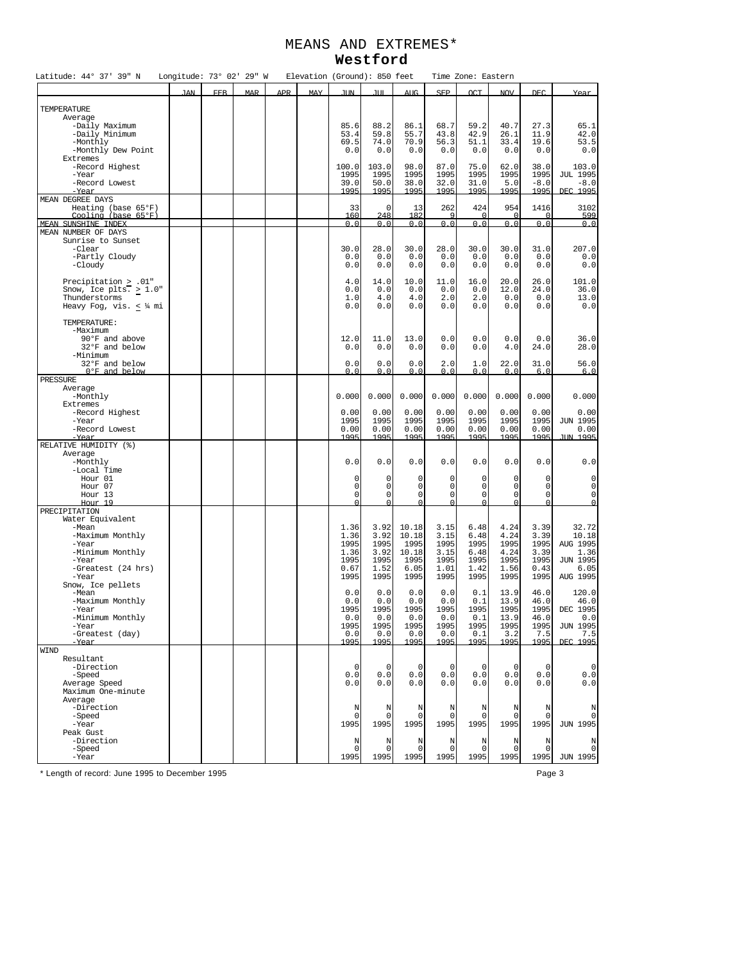## MEANS AND EXTREMES\* **Westford**

| Latitude: 44° 37' 39" N                     | Longitude: 73° 02' 29" W |            |            |     | Elevation (Ground): 850 feet |                  |              |                |                  | Time Zone: Eastern |                  |                |                            |
|---------------------------------------------|--------------------------|------------|------------|-----|------------------------------|------------------|--------------|----------------|------------------|--------------------|------------------|----------------|----------------------------|
|                                             | <b>JAN</b>               | <b>FEB</b> | <b>MAR</b> | APR | <b>MAY</b>                   | <b>JIN</b>       | JUT.         | AUG.           | <b>SEP</b>       | OCT                | <b>NOV</b>       | <b>DEC</b>     | Year                       |
|                                             |                          |            |            |     |                              |                  |              |                |                  |                    |                  |                |                            |
| TEMPERATURE<br>Average                      |                          |            |            |     |                              |                  |              |                |                  |                    |                  |                |                            |
| -Daily Maximum                              |                          |            |            |     |                              | 85.6             | 88.2         | 86.1           | 68.7             | 59.2               | 40.7             | 27.3           | 65.1                       |
| -Daily Minimum<br>-Monthly                  |                          |            |            |     |                              | 53.4<br>69.5     | 59.8<br>74.0 | 55.7<br>70.9   | 43.8             | 42.9               | 26.1             | 11.9           | 42.0                       |
| -Monthly Dew Point                          |                          |            |            |     |                              | 0.0              | 0.0          | 0.0            | 56.3<br>0.0      | 51.1<br>0.0        | 33.4<br>0.0      | 19.6<br>0.0    | 53.5<br>0.0                |
| Extremes                                    |                          |            |            |     |                              |                  |              |                |                  |                    |                  |                |                            |
| -Record Highest                             |                          |            |            |     |                              | 100.0            | 103.0        | 98.0           | 87.0             | 75.0               | 62.0             | 38.0           | 103.0                      |
| -Year                                       |                          |            |            |     |                              | 1995             | 1995         | 1995           | 1995             | 1995               | 1995             | 1995           | <b>JUL 1995</b>            |
| -Record Lowest<br>-Year                     |                          |            |            |     |                              | 39.0<br>1995     | 50.0<br>1995 | 38.0<br>1995   | 32.0<br>1995     | 31.0<br>1995       | 5.0<br>1995      | $-8.0$<br>1995 | $-8.0$<br>DEC 1995         |
| MEAN DEGREE DAYS                            |                          |            |            |     |                              |                  |              |                |                  |                    |                  |                |                            |
| Heating (base 65°F)                         |                          |            |            |     |                              | 33               | $\mathbf 0$  | 13             | 262              | 424                | 954              | 1416           | 3102                       |
| Cooling (base 65°F)<br>MEAN SUNSHINE INDEX  |                          |            |            |     |                              | 160<br>0.0       | 248<br>0.0   | 182<br>0.0     | 9<br>0.0         | 0.0                | $\Omega$<br>0.0  | 0.0            | 599<br>0.0                 |
| MEAN NUMBER OF DAYS                         |                          |            |            |     |                              |                  |              |                |                  |                    |                  |                |                            |
| Sunrise to Sunset                           |                          |            |            |     |                              |                  |              |                |                  |                    |                  |                |                            |
| -Clear                                      |                          |            |            |     |                              | 30.0             | 28.0         | 30.0           | 28.0             | 30.0               | 30.0             | 31.0           | 207.0                      |
| -Partly Cloudy<br>-Cloudy                   |                          |            |            |     |                              | 0.0<br>0.0       | 0.0<br>0.0   | 0.0<br>0.0     | 0.0<br>0.0       | $0.0$<br>0.0       | 0.0<br>0.0       | 0.0<br>0.0     | 0.0<br>0.0                 |
|                                             |                          |            |            |     |                              |                  |              |                |                  |                    |                  |                |                            |
| Precipitation > .01"                        |                          |            |            |     |                              | 4.0              | 14.0         | 10.0           | 11.0             | 16.0               | 20.0             | 26.0           | 101.0                      |
| Snow, Ice plts. $\geq 1.0$ "                |                          |            |            |     |                              | 0.0<br>1.0       | 0.0<br>4.0   | 0.0<br>4.0     | 0.0<br>2.0       | 0.0<br>2.0         | 12.0<br>0.0      | 24.0<br>0.0    | 36.0<br>13.0               |
| Thunderstorms<br>Heavy Fog, vis. $\lt$ ¼ mi |                          |            |            |     |                              | 0.0              | 0.0          | 0.0            | 0.0              | 0.0                | 0.0              | 0.0            | 0.0                        |
|                                             |                          |            |            |     |                              |                  |              |                |                  |                    |                  |                |                            |
| TEMPERATURE:                                |                          |            |            |     |                              |                  |              |                |                  |                    |                  |                |                            |
| -Maximum<br>90°F and above                  |                          |            |            |     |                              | 12.0             | 11.0         | 13.0           | 0.0              | 0.0                | 0.0              | 0.0            | 36.0                       |
| 32°F and below                              |                          |            |            |     |                              | 0.0              | 0.0          | 0.0            | 0.0              | 0.0                | 4.0              | 24.0           | 28.0                       |
| -Minimum                                    |                          |            |            |     |                              |                  |              |                |                  |                    |                  |                |                            |
| 32°F and below                              |                          |            |            |     |                              | 0.0              | 0.0          | 0.0            | 2.0              | 1.0                | 22.0             | 31.0           | 56.0                       |
| 0°F and below<br>PRESSURE                   |                          |            |            |     |                              | n <sub>n</sub>   | 0.0          | 0.0            | 0.0              | 0.0                | 0.0              | 6.0            | 6.0                        |
| Average                                     |                          |            |            |     |                              |                  |              |                |                  |                    |                  |                |                            |
| -Monthly                                    |                          |            |            |     |                              | 0.000            | 0.000        | 0.000          | 0.000            | 0.000              | 0.000            | 0.000          | 0.000                      |
| Extremes                                    |                          |            |            |     |                              |                  |              |                |                  |                    |                  |                |                            |
| -Record Highest<br>-Year                    |                          |            |            |     |                              | 0.00<br>1995     | 0.00<br>1995 | 0.00<br>1995   | 0.00<br>1995     | 0.00<br>1995       | 0.00<br>1995     | 0.00<br>1995   | 0.00<br>JUN 1995           |
| -Record Lowest                              |                          |            |            |     |                              | 0.00             | 0.00         | 0.00           | 0.00             | 0.00               | 0.00             | 0.00           | 0.00                       |
| -Year                                       |                          |            |            |     |                              | 1995             | 1995         | 1995           | 1995             | 1995               | 1995             | 1995           | JIN 1995                   |
| RELATIVE HUMIDITY (%)                       |                          |            |            |     |                              |                  |              |                |                  |                    |                  |                |                            |
| Average<br>-Monthly                         |                          |            |            |     |                              | 0.0              | 0.0          | 0.0            | 0.0              | 0.0                | 0.0              | 0.0            | 0.0                        |
| -Local Time                                 |                          |            |            |     |                              |                  |              |                |                  |                    |                  |                |                            |
| Hour 01                                     |                          |            |            |     |                              | 0                | 0            | 0              | 0                | 0                  | $\mathbf 0$      | 0              | $\mathbf 0$                |
| Hour 07<br>Hour 13                          |                          |            |            |     |                              | 0<br>$\mathbf 0$ | 0<br>0       | 0<br>$\circ$   | 0<br>$\mathsf 0$ | 0<br>$\circ$       | 0<br>$\mathsf 0$ | 0<br>0         | $\mathbf 0$<br>$\mathbf 0$ |
| Hour 19                                     |                          |            |            |     |                              |                  | $\Omega$     |                | $\Omega$         | $\cap$             | $\Omega$         | $\Omega$       | $\Omega$                   |
| PRECIPITATION                               |                          |            |            |     |                              |                  |              |                |                  |                    |                  |                |                            |
| Water Equivalent                            |                          |            |            |     |                              |                  |              |                |                  |                    |                  |                |                            |
| -Mean<br>-Maximum Monthly                   |                          |            |            |     |                              | 1.36<br>1.36     | 3.92<br>3.92 | 10.18<br>10.18 | 3.15<br>3.15     | 6.48<br>6.48       | 4.24<br>4.24     | 3.39<br>3.39   | 32.72<br>10.18             |
| -Year                                       |                          |            |            |     |                              | 1995             | 1995         | 1995           | 1995             | 1995               | 1995             | 1995           | AUG 1995                   |
| -Minimum Monthly                            |                          |            |            |     |                              | 1.36             | 3.92         | 10.18          | 3.15             | 6.48               | 4.24             | 3.39           | 1.36                       |
| -Year                                       |                          |            |            |     |                              | 1995<br>0.67     | 1995         | 1995<br>6.05   | 1995             | 1995               | 1995             | 1995           | <b>JUN 1995</b>            |
| -Greatest (24 hrs)<br>-Year                 |                          |            |            |     |                              | 1995             | 1.52<br>1995 | 1995           | 1.01<br>1995     | 1.42<br>1995       | 1.56<br>1995     | 0.43<br>1995   | 6.05<br>AUG 1995           |
| Snow, Ice pellets                           |                          |            |            |     |                              |                  |              |                |                  |                    |                  |                |                            |
| -Mean                                       |                          |            |            |     |                              | 0.0              | 0.0          | 0.0            | 0.0              | 0.1                | 13.9             | 46.0           | 120.0                      |
| -Maximum Monthly<br>-Year                   |                          |            |            |     |                              | 0.0<br>1995      | 0.0<br>1995  | 0.0<br>1995    | 0.0<br>1995      | 0.1<br>1995        | 13.9<br>1995     | 46.0<br>1995   | 46.0<br>DEC 1995           |
| -Minimum Monthly                            |                          |            |            |     |                              | 0.0              | 0.0          | 0.0            | 0.0              | 0.1                | 13.9             | 46.0           | 0.0                        |
| -Year                                       |                          |            |            |     |                              | 1995             | 1995         | 1995           | 1995             | 1995               | 1995             | 1995           | <b>JUN 1995</b>            |
| -Greatest (day)                             |                          |            |            |     |                              | 0.0              | 0.0          | 0.0            | 0.0              | 0.1                | 3.2              | 7.5            | 7.5                        |
| -Year<br>WIND                               |                          |            |            |     |                              | 1995             | 1995         | 1995           | 1995             | 1995               | 1995             | 1995           | DEC 1995                   |
| Resultant                                   |                          |            |            |     |                              |                  |              |                |                  |                    |                  |                |                            |
| -Direction                                  |                          |            |            |     |                              | $\Omega$         | $\Omega$     | $\Omega$       | $\mathbf 0$      | $\Omega$           | $\Omega$         | $\Omega$       | $\mathbf 0$                |
| -Speed                                      |                          |            |            |     |                              | 0.0              | 0.0          | 0.0            | 0.0              | 0.0                | 0.0              | 0.0            | 0.0                        |
| Average Speed<br>Maximum One-minute         |                          |            |            |     |                              | 0.0              | 0.0          | 0.0            | 0.0              | 0.0                | 0.0              | 0.0            | 0.0                        |
| Average                                     |                          |            |            |     |                              |                  |              |                |                  |                    |                  |                |                            |
| -Direction                                  |                          |            |            |     |                              | N                | N            | N              | N                | N                  | N                | N              | N                          |
| -Speed                                      |                          |            |            |     |                              | $\Omega$         | $\mathbf 0$  | $\Omega$       | $\Omega$         | $\Omega$           | $\mathbf 0$      | $\Omega$       | $\mathbf 0$                |
| -Year                                       |                          |            |            |     |                              | 1995             | 1995         | 1995           | 1995             | 1995               | 1995             | 1995           | <b>JUN 1995</b>            |
| Peak Gust<br>-Direction                     |                          |            |            |     |                              | N                | N            | N              | N                | N                  | N                | N              | N                          |
| -Speed                                      |                          |            |            |     |                              | $\Omega$         | 0            | $\Omega$       | $\Omega$         | $\Omega$           | $\mathbf 0$      | $\Omega$       | 0                          |
| -Year                                       |                          |            |            |     |                              | 1995             | 1995         | 1995           | 1995             | 1995               | 1995             | 1995           | JUN 1995                   |

\* Length of record: June 1995 to December 1995 Page 3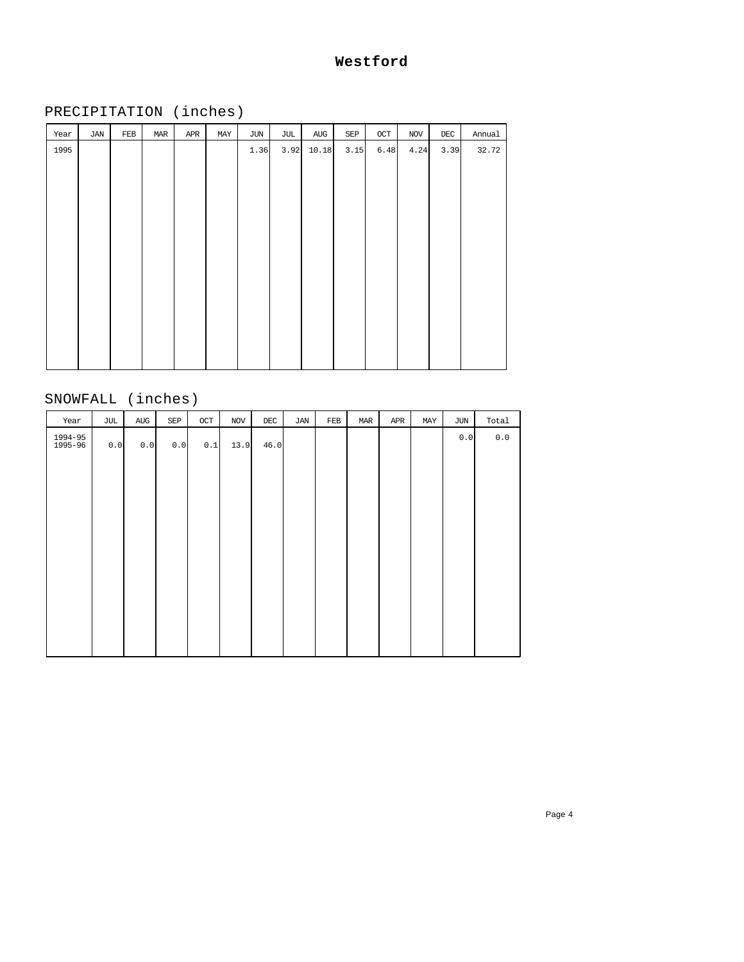## **Westford**

# PRECIPITATION (inches)

| Year | JAN | FEB | MAR | APR | MAY | JUN  | JUL  | AUG   | SEP  | $OCT$ | $\rm NOV$ | $\rm DEC$ | Annual |
|------|-----|-----|-----|-----|-----|------|------|-------|------|-------|-----------|-----------|--------|
| 1995 |     |     |     |     |     | 1.36 | 3.92 | 10.18 | 3.15 | 6.48  | 4.24      | 3.39      | 32.72  |
|      |     |     |     |     |     |      |      |       |      |       |           |           |        |
|      |     |     |     |     |     |      |      |       |      |       |           |           |        |
|      |     |     |     |     |     |      |      |       |      |       |           |           |        |
|      |     |     |     |     |     |      |      |       |      |       |           |           |        |
|      |     |     |     |     |     |      |      |       |      |       |           |           |        |
|      |     |     |     |     |     |      |      |       |      |       |           |           |        |
|      |     |     |     |     |     |      |      |       |      |       |           |           |        |
|      |     |     |     |     |     |      |      |       |      |       |           |           |        |
|      |     |     |     |     |     |      |      |       |      |       |           |           |        |
|      |     |     |     |     |     |      |      |       |      |       |           |           |        |
|      |     |     |     |     |     |      |      |       |      |       |           |           |        |
|      |     |     |     |     |     |      |      |       |      |       |           |           |        |
|      |     |     |     |     |     |      |      |       |      |       |           |           |        |

# SNOWFALL (inches)

| Year               | JUL | AUG   | SEP | OCT | NOV  | $\rm DEC$ | JAN | FEB | MAR | APR | MAY | JUN | Total |
|--------------------|-----|-------|-----|-----|------|-----------|-----|-----|-----|-----|-----|-----|-------|
| 1994-95<br>1995-96 | 0.0 | $0.0$ | 0.0 | 0.1 | 13.9 | 46.0      |     |     |     |     |     | 0.0 | $0.0$ |
|                    |     |       |     |     |      |           |     |     |     |     |     |     |       |
|                    |     |       |     |     |      |           |     |     |     |     |     |     |       |
|                    |     |       |     |     |      |           |     |     |     |     |     |     |       |
|                    |     |       |     |     |      |           |     |     |     |     |     |     |       |
|                    |     |       |     |     |      |           |     |     |     |     |     |     |       |
|                    |     |       |     |     |      |           |     |     |     |     |     |     |       |
|                    |     |       |     |     |      |           |     |     |     |     |     |     |       |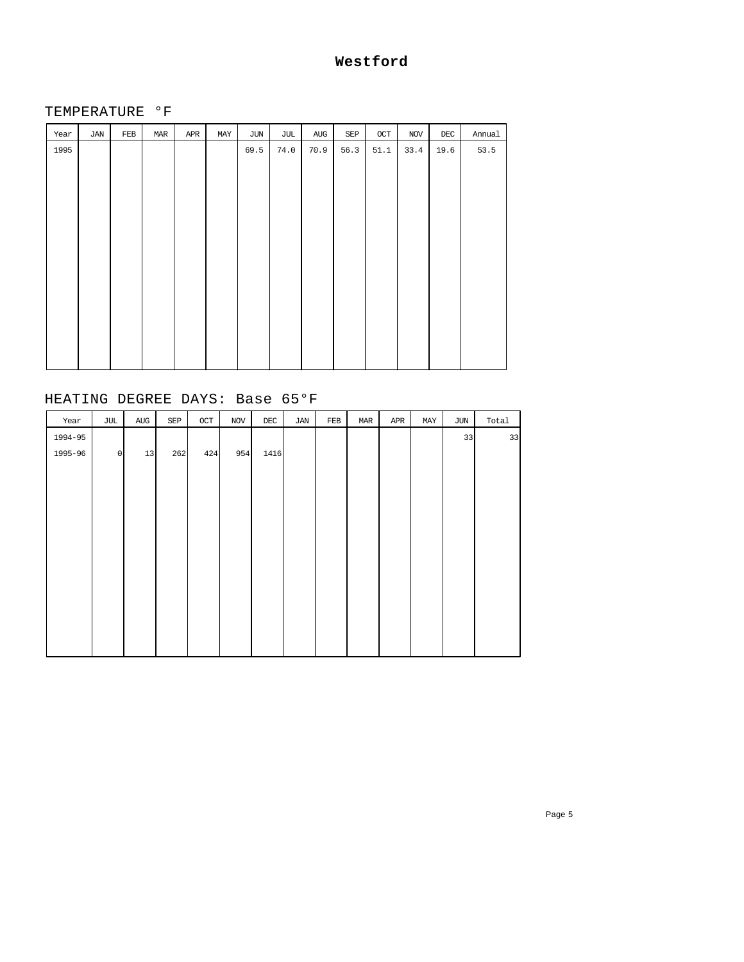## **Westford**

#### TEMPERATURE °F

| Year | JAN | FEB | MAR | APR | MAY | JUN  | JUL  | AUG  | SEP  | $OCT$ | $_{\rm NOV}$ | $\rm DEC$ | Annual |
|------|-----|-----|-----|-----|-----|------|------|------|------|-------|--------------|-----------|--------|
| 1995 |     |     |     |     |     | 69.5 | 74.0 | 70.9 | 56.3 | 51.1  | 33.4         | 19.6      | 53.5   |
|      |     |     |     |     |     |      |      |      |      |       |              |           |        |
|      |     |     |     |     |     |      |      |      |      |       |              |           |        |
|      |     |     |     |     |     |      |      |      |      |       |              |           |        |
|      |     |     |     |     |     |      |      |      |      |       |              |           |        |
|      |     |     |     |     |     |      |      |      |      |       |              |           |        |
|      |     |     |     |     |     |      |      |      |      |       |              |           |        |
|      |     |     |     |     |     |      |      |      |      |       |              |           |        |
|      |     |     |     |     |     |      |      |      |      |       |              |           |        |
|      |     |     |     |     |     |      |      |      |      |       |              |           |        |
|      |     |     |     |     |     |      |      |      |      |       |              |           |        |
|      |     |     |     |     |     |      |      |      |      |       |              |           |        |
|      |     |     |     |     |     |      |      |      |      |       |              |           |        |
|      |     |     |     |     |     |      |      |      |      |       |              |           |        |

## HEATING DEGREE DAYS: Base 65°F

| Year    | JUL     | $\operatorname{AUG}$ | SEP | $\mathtt{OCT}$ | $_{\rm NOV}$ | $\rm DEC$ | JAN | $_{\rm FEB}$ | MAR | APR | MAY | $\rm JUN$ | Total |
|---------|---------|----------------------|-----|----------------|--------------|-----------|-----|--------------|-----|-----|-----|-----------|-------|
| 1994-95 |         |                      |     |                |              |           |     |              |     |     |     | 33        | 33    |
| 1995-96 | $\circ$ | 13                   | 262 | 424            | 954          | 1416      |     |              |     |     |     |           |       |
|         |         |                      |     |                |              |           |     |              |     |     |     |           |       |
|         |         |                      |     |                |              |           |     |              |     |     |     |           |       |
|         |         |                      |     |                |              |           |     |              |     |     |     |           |       |
|         |         |                      |     |                |              |           |     |              |     |     |     |           |       |
|         |         |                      |     |                |              |           |     |              |     |     |     |           |       |
|         |         |                      |     |                |              |           |     |              |     |     |     |           |       |
|         |         |                      |     |                |              |           |     |              |     |     |     |           |       |
|         |         |                      |     |                |              |           |     |              |     |     |     |           |       |
|         |         |                      |     |                |              |           |     |              |     |     |     |           |       |
|         |         |                      |     |                |              |           |     |              |     |     |     |           |       |
|         |         |                      |     |                |              |           |     |              |     |     |     |           |       |
|         |         |                      |     |                |              |           |     |              |     |     |     |           |       |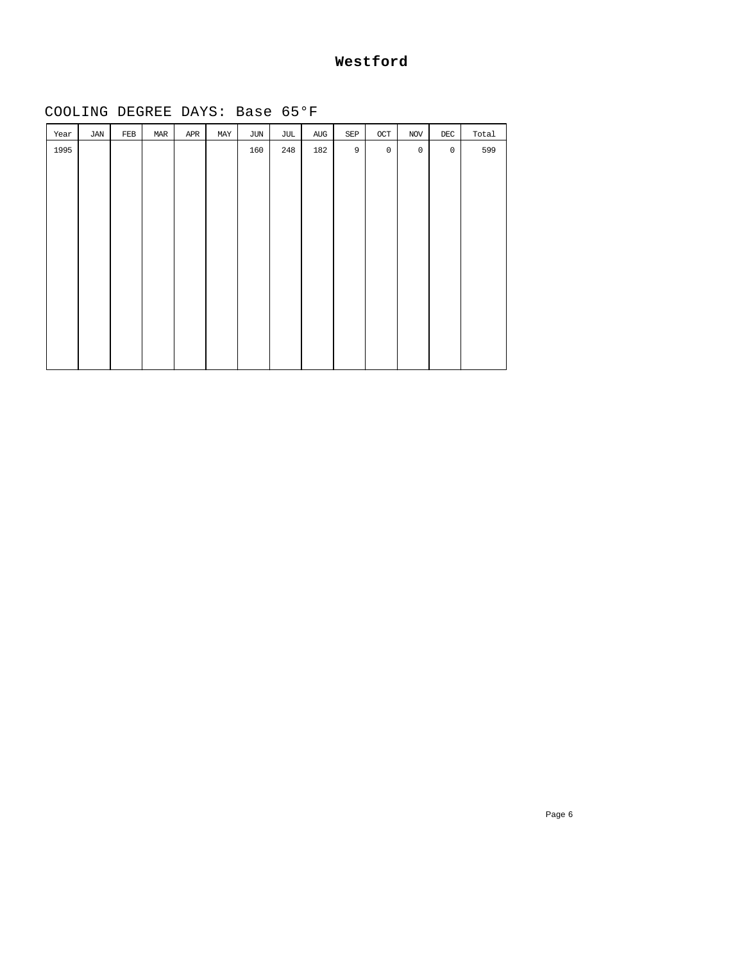### **Westford**

# COOLING DEGREE DAYS: Base 65°F

| Year | JAN | $_{\rm FEB}$ | MAR | APR | MAY | JUN | JUL | $\operatorname{AUG}$ | $\ensuremath{\mathop{\mathbf{SEP}}}\xspace$ | $_{\rm OCT}$ | $\rm NOV$    | $\rm DEC$           | Total |
|------|-----|--------------|-----|-----|-----|-----|-----|----------------------|---------------------------------------------|--------------|--------------|---------------------|-------|
| 1995 |     |              |     |     |     | 160 | 248 | 182                  | $\overline{9}$                              | $\mathbb O$  | $\mathsf{O}$ | $\mathsf{O}\xspace$ | 599   |
|      |     |              |     |     |     |     |     |                      |                                             |              |              |                     |       |
|      |     |              |     |     |     |     |     |                      |                                             |              |              |                     |       |
|      |     |              |     |     |     |     |     |                      |                                             |              |              |                     |       |
|      |     |              |     |     |     |     |     |                      |                                             |              |              |                     |       |
|      |     |              |     |     |     |     |     |                      |                                             |              |              |                     |       |
|      |     |              |     |     |     |     |     |                      |                                             |              |              |                     |       |
|      |     |              |     |     |     |     |     |                      |                                             |              |              |                     |       |
|      |     |              |     |     |     |     |     |                      |                                             |              |              |                     |       |
|      |     |              |     |     |     |     |     |                      |                                             |              |              |                     |       |
|      |     |              |     |     |     |     |     |                      |                                             |              |              |                     |       |
|      |     |              |     |     |     |     |     |                      |                                             |              |              |                     |       |
|      |     |              |     |     |     |     |     |                      |                                             |              |              |                     |       |
|      |     |              |     |     |     |     |     |                      |                                             |              |              |                     |       |

Page 6